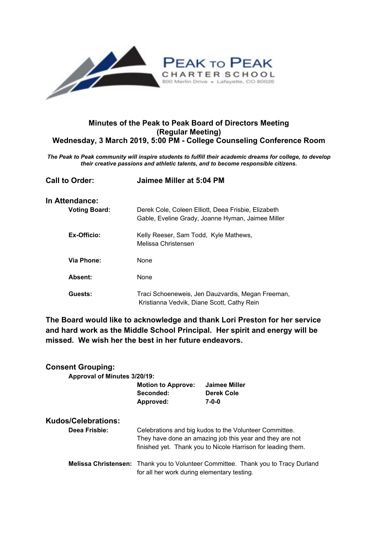

# **Minutes of the Peak to Peak Board of Directors Meeting (Regular Meeting) Wednesday, 3 March 2019, 5:00 PM - College Counseling Conference Room**

*The Peak to Peak community will inspire students to fulfill their academic dreams for college, to develop their creative passions and athletic talents, and to become responsible citizens.*

| <b>Call to Order:</b> | Jaimee Miller at 5:04 PM                                                                                 |  |
|-----------------------|----------------------------------------------------------------------------------------------------------|--|
| In Attendance:        |                                                                                                          |  |
| <b>Voting Board:</b>  | Derek Cole, Coleen Elliott, Deea Frisbie, Elizabeth<br>Gable, Eveline Grady, Joanne Hyman, Jaimee Miller |  |
| Ex-Officio:           | Kelly Reeser, Sam Todd, Kyle Mathews,<br>Melissa Christensen                                             |  |
| Via Phone:            | None                                                                                                     |  |
| Absent:               | None                                                                                                     |  |
| Guests:               | Traci Schoeneweis, Jen Dauzvardis, Megan Freeman,<br>Kristianna Vedvik, Diane Scott, Cathy Rein          |  |

**The Board would like to acknowledge and thank Lori Preston for her service and hard work as the Middle School Principal. Her spirit and energy will be missed. We wish her the best in her future endeavors.**

| <b>Consent Grouping:</b>     |                                                                                                                                                                                    |                                                                                   |  |  |
|------------------------------|------------------------------------------------------------------------------------------------------------------------------------------------------------------------------------|-----------------------------------------------------------------------------------|--|--|
| Approval of Minutes 3/20/19: |                                                                                                                                                                                    |                                                                                   |  |  |
|                              | <b>Motion to Approve:</b><br>Seconded:<br>Approved:                                                                                                                                | Jaimee Miller<br>Derek Cole<br>$7 - 0 - 0$                                        |  |  |
| <b>Kudos/Celebrations:</b>   |                                                                                                                                                                                    |                                                                                   |  |  |
| Deea Frisbie:                | Celebrations and big kudos to the Volunteer Committee.<br>They have done an amazing job this year and they are not<br>finished yet. Thank you to Nicole Harrison for leading them. |                                                                                   |  |  |
|                              | for all her work during elementary testing.                                                                                                                                        | Melissa Christensen: Thank you to Volunteer Committee. Thank you to Tracy Durland |  |  |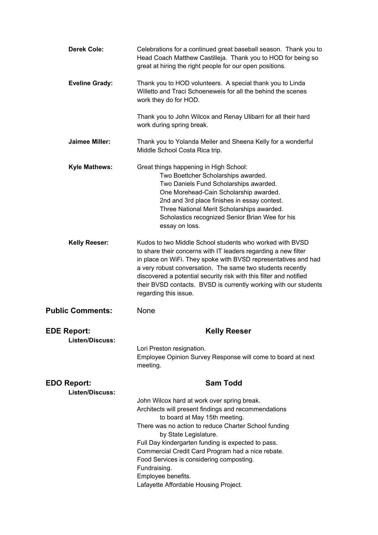| <b>Derek Cole:</b>                           | Celebrations for a continued great baseball season. Thank you to<br>Head Coach Matthew Castilleja. Thank you to HOD for being so<br>great at hiring the right people for our open positions.                                                                                                                                                                                                                                                                |
|----------------------------------------------|-------------------------------------------------------------------------------------------------------------------------------------------------------------------------------------------------------------------------------------------------------------------------------------------------------------------------------------------------------------------------------------------------------------------------------------------------------------|
| <b>Eveline Grady:</b>                        | Thank you to HOD volunteers. A special thank you to Linda<br>Willetto and Traci Schoeneweis for all the behind the scenes<br>work they do for HOD.                                                                                                                                                                                                                                                                                                          |
|                                              | Thank you to John Wilcox and Renay Ulibarri for all their hard<br>work during spring break.                                                                                                                                                                                                                                                                                                                                                                 |
| <b>Jaimee Miller:</b>                        | Thank you to Yolanda Meiler and Sheena Kelly for a wonderful<br>Middle School Costa Rica trip.                                                                                                                                                                                                                                                                                                                                                              |
| <b>Kyle Mathews:</b>                         | Great things happening in High School:<br>Two Boettcher Scholarships awarded.<br>Two Daniels Fund Scholarships awarded.<br>One Morehead-Cain Scholarship awarded.<br>2nd and 3rd place finishes in essay contest.<br>Three National Merit Scholarships awarded.<br>Scholastics recognized Senior Brian Wee for his<br>essay on loss.                                                                                                                        |
| <b>Kelly Reeser:</b>                         | Kudos to two Middle School students who worked with BVSD<br>to share their concerns with IT leaders regarding a new filter<br>in place on WiFi. They spoke with BVSD representatives and had<br>a very robust conversation. The same two students recently<br>discovered a potential security risk with this filter and notified<br>their BVSD contacts. BVSD is currently working with our students<br>regarding this issue.                               |
| <b>Public Comments:</b>                      | None                                                                                                                                                                                                                                                                                                                                                                                                                                                        |
| <b>EDE Report:</b><br><b>Listen/Discuss:</b> | <b>Kelly Reeser</b>                                                                                                                                                                                                                                                                                                                                                                                                                                         |
|                                              | Lori Preston resignation.<br>Employee Opinion Survey Response will come to board at next<br>meeting.                                                                                                                                                                                                                                                                                                                                                        |
| <b>EDO Report:</b><br><b>Listen/Discuss:</b> | <b>Sam Todd</b>                                                                                                                                                                                                                                                                                                                                                                                                                                             |
|                                              | John Wilcox hard at work over spring break.<br>Architects will present findings and recommendations<br>to board at May 15th meeting.<br>There was no action to reduce Charter School funding<br>by State Legislature.<br>Full Day kindergarten funding is expected to pass.<br>Commercial Credit Card Program had a nice rebate.<br>Food Services is considering composting.<br>Fundraising.<br>Employee benefits.<br>Lafayette Affordable Housing Project. |